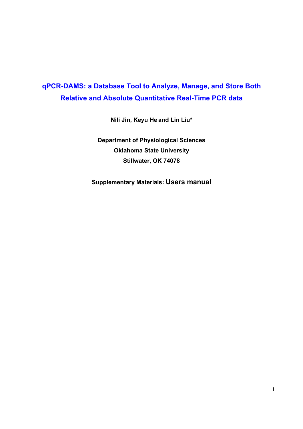# **qPCR-DAMS: a Database Tool to Analyze, Manage, and Store Both Relative and Absolute Quantitative Real-Time PCR data**

**Nili Jin, Keyu He and Lin Liu\*** 

**Department of Physiological Sciences Oklahoma State University Stillwater, OK 74078** 

**Supplementary Materials: Users manual**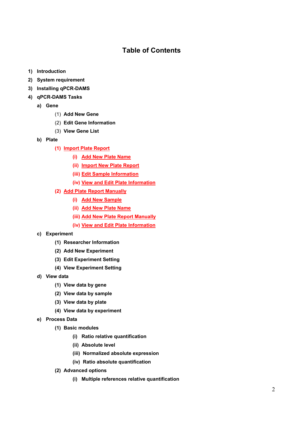# **Table of Contents**

- **1) Introduction**
- **2) System requirement**
- **3) Installing qPCR-DAMS**
- **4) qPCR-DAMS Tasks** 
	- **a) Gene** 
		- (1) **Add New Gene**
		- (2) **Edit Gene Information**
		- (3) **View Gene List**
	- **b) Plate** 
		- **(1) Import Plate Report**
			- **(i) Add New Plate Name**
			- **(ii) Import New Plate Report**
			- **(iii) Edit Sample Information**
			- **(iv) View and Edit Plate Information**
		- **(2) Add Plate Report Manually**
			- **(i) Add New Sample**
			- **(ii) Add New Plate Name**
			- **(iii) Add New Plate Report Manually**
			- **(iv) View and Edit Plate Information**
	- **c) Experiment** 
		- **(1) Researcher Information**
		- **(2) Add New Experiment**
		- **(3) Edit Experiment Setting**
		- **(4) View Experiment Setting**
	- **d) View data** 
		- **(1) View data by gene**
		- **(2) View data by sample**
		- **(3) View data by plate**
		- **(4) View data by experiment**
	- **e) Process Data** 
		- **(1) Basic modules** 
			- **(i) Ratio relative quantification**
			- **(ii) Absolute level**
			- **(iii) Normalized absolute expression**
			- **(iv) Ratio absolute quantification**
		- **(2) Advanced options** 
			- **(i) Multiple references relative quantification**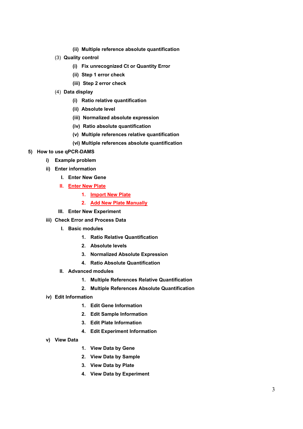- **(ii) Multiple reference absolute quantification**
- (3) **Quality control**
	- **(i) Fix unrecognized Ct or Quantity Error**
	- **(ii) Step 1 error check**
	- **(iii) Step 2 error check**
- (4) **Data display**
	- **(i) Ratio relative quantification**
	- **(ii) Absolute level**
	- **(iii) Normalized absolute expression**
	- **(iv) Ratio absolute quantification**
	- **(v) Multiple references relative quantification**
	- **(vi) Multiple references absolute quantification**

#### **5) How to use qPCR-DAMS**

- **i) Example problem**
- **ii) Enter information** 
	- **I. Enter New Gene**
	- **II. Enter New Plate**
		- **1. Import New Plate**
		- **2. Add New Plate Manually**
	- **III. Enter New Experiment**
- **iii) Check Error and Process Data** 
	- **I. Basic modules** 
		- **1. Ratio Relative Quantification**
		- **2. Absolute levels**
		- **3. Normalized Absolute Expression**
		- **4. Ratio Absolute Quantification**
	- **II. Advanced modules** 
		- **1. Multiple References Relative Quantification**
		- **2. Multiple References Absolute Quantification**
- **iv) Edit Information** 
	- **1. Edit Gene Information**
	- **2. Edit Sample Information**
	- **3. Edit Plate Information**
	- **4. Edit Experiment Information**
- **v) View Data**
- **1. View Data by Gene**
- **2. View Data by Sample**
- **3. View Data by Plate**
- **4. View Data by Experiment**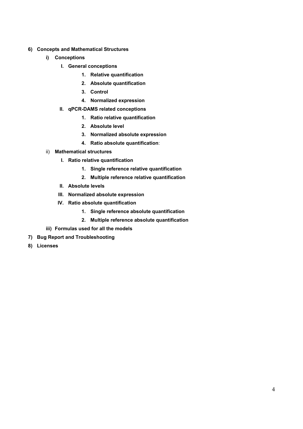- **6) Concepts and Mathematical Structures** 
	- **i) Conceptions** 
		- **I. General conceptions** 
			- **1. Relative quantification**
			- **2. Absolute quantification**
			- **3. Control**
			- **4. Normalized expression**
		- **II. qPCR-DAMS related conceptions** 
			- **1. Ratio relative quantification**
			- **2. Absolute level**
			- **3. Normalized absolute expression**
			- **4. Ratio absolute quantification**:
	- ii) **Mathematical structures** 
		- **I. Ratio relative quantification** 
			- **1. Single reference relative quantification**
			- **2. Multiple reference relative quantification**
		- **II. Absolute levels**
		- **III. Normalized absolute expression**
		- **IV. Ratio absolute quantification** 
			- **1. Single reference absolute quantification**
			- **2. Multiple reference absolute quantification**
	- **iii) Formulas used for all the models**
- **7) Bug Report and Troubleshooting**
- **8) Licenses**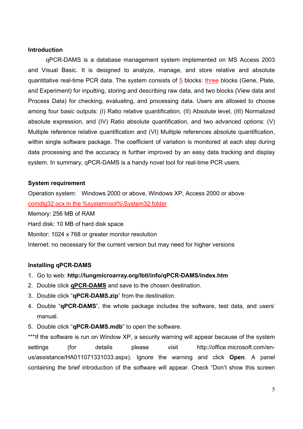#### **Introduction**

qPCR-DAMS is a database management system implemented on MS Access 2003 and Visual Basic. It is designed to analyze, manage, and store relative and absolute quantitative real-time PCR data. The system consists of  $5$  blocks: three blocks (Gene, Plate, and Experiment) for inputting, storing and describing raw data, and two blocks (View data and Process Data) for checking, evaluating, and processing data. Users are allowed to choose among four basic outputs: (I) Ratio relative quantification, (II) Absolute level, (III) Normalized absolute expression, and (IV) Ratio absolute quantification, and two advanced options: (V) Multiple reference relative quantification and (VI) Multiple references absolute quantification, within single software package. The coefficient of variation is monitored at each step during data processing and the accuracy is further improved by an easy data tracking and display system. In summary, qPCR-DAMS is a handy novel tool for real-time PCR users.

## **System requirement**

Operation system: Windows 2000 or above, Windows XP, Access 2000 or above comdlg32.ocx in the %systemroot%\System32 folder Memory: 256 MB of RAM Hard disk: 10 MB of hard disk space Monitor: 1024 x 768 or greater monitor resolution Internet: no necessary for the current version but may need for higher versions

#### **Installing qPCR-DAMS**

- 1. Go to web: **http://lungmicroarray.org/lbtl/info/qPCR-DAMS/index.htm**
- 2. Double click **qPCR-DAMS** and save to the chosen destination.
- 3. Double click "**qPCR-DAMS.zip**" from the destination.
- 4. Double "**qPCR-DAMS**", the whole package includes the software, test data, and users' manual.
- 5. Double click "**qPCR-DAMS.mdb**" to open the software.

\*\*\*If the software is run on Window XP, a security warning will appear because of the system settings (for details please visit http://office.microsoft.com/enus/assistance/HA011071331033.aspx). Ignore the warning and click **Open**. A panel containing the brief introduction of the software will appear. Check "Don't show this screen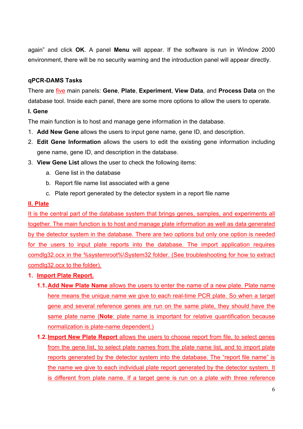again" and click **OK**. A panel **Menu** will appear. If the software is run in Window 2000 environment, there will be no security warning and the introduction panel will appear directly.

## **qPCR-DAMS Tasks**

There are five main panels: **Gene**, **Plate**, **Experiment**, **View Data**, and **Process Data** on the database tool. Inside each panel, there are some more options to allow the users to operate.

## **I. Gene**

The main function is to host and manage gene information in the database.

- 1. **Add New Gene** allows the users to input gene name, gene ID, and description.
- 2. **Edit Gene Information** allows the users to edit the existing gene information including gene name, gene ID, and description in the database.
- 3. **View Gene List** allows the user to check the following items:
	- a. Gene list in the database
	- b. Report file name list associated with a gene
	- c. Plate report generated by the detector system in a report file name

## **II. Plate**

It is the central part of the database system that brings genes, samples, and experiments all together. The main function is to host and manage plate information as well as data generated by the detector system in the database. There are two options but only one option is needed for the users to input plate reports into the database. The import application requires comdlg32.ocx in the %systemroot%\System32 folder. (See troubleshooting for how to extract comdlg32.ocx to the folder).

# **1. Import Plate Report.**

- **1.1. Add New Plate Name** allows the users to enter the name of a new plate. Plate name here means the unique name we give to each real-time PCR plate. So when a target gene and several reference genes are run on the same plate, they should have the same plate name (**Note**: plate name is important for relative quantification because normalization is plate-name dependent.)
- **1.2. Import New Plate Report** allows the users to choose report from file, to select genes from the gene list, to select plate names from the plate name list, and to import plate reports generated by the detector system into the database. The "report file name" is the name we give to each individual plate report generated by the detector system. It is different from plate name. If a target gene is run on a plate with three reference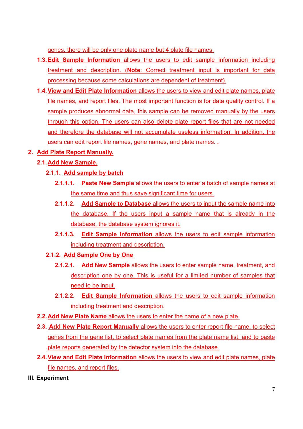genes, there will be only one plate name but 4 plate file names.

- **1.3. Edit Sample Information** allows the users to edit sample information including treatment and description. (**Note**: Correct treatment input is important for data processing because some calculations are dependent of treatment).
- **1.4. View and Edit Plate Information** allows the users to view and edit plate names, plate file names, and report files. The most important function is for data quality control. If a sample produces abnormal data, this sample can be removed manually by the users through this option. The users can also delete plate report files that are not needed and therefore the database will not accumulate useless information. In addition, the users can edit report file names, gene names, and plate names. **.**
- **2. Add Plate Report Manually.**
	- **2.1. Add New Sample.**
		- **2.1.1. Add sample by batch**
			- **2.1.1.1. Paste New Sample** allows the users to enter a batch of sample names at the same time and thus save significant time for users.
			- **2.1.1.2. Add Sample to Database** allows the users to input the sample name into the database. If the users input a sample name that is already in the database, the database system ignores it.
			- **2.1.1.3. Edit Sample Information** allows the users to edit sample information including treatment and description.
		- **2.1.2. Add Sample One by One**
			- **2.1.2.1. Add New Sample** allows the users to enter sample name, treatment, and description one by one. This is useful for a limited number of samples that need to be input.
			- **2.1.2.2. Edit Sample Information** allows the users to edit sample information including treatment and description.
	- **2.2. Add New Plate Name** allows the users to enter the name of a new plate.
	- **2.3. Add New Plate Report Manually** allows the users to enter report file name, to select genes from the gene list, to select plate names from the plate name list, and to paste plate reports generated by the detector system into the database.
	- **2.4. View and Edit Plate Information** allows the users to view and edit plate names, plate file names, and report files.
- **III. Experiment**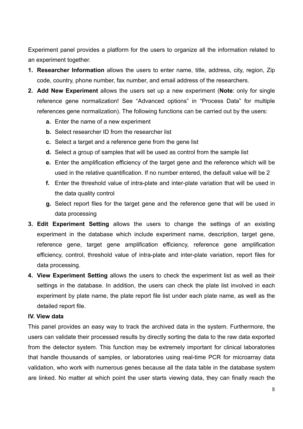Experiment panel provides a platform for the users to organize all the information related to an experiment together.

- **1. Researcher Information** allows the users to enter name, title, address, city, region, Zip code, country, phone number, fax number, and email address of the researchers.
- **2. Add New Experiment** allows the users set up a new experiment (**Note**: only for single reference gene normalization! See "Advanced options" in "Process Data" for multiple references gene normalization). The following functions can be carried out by the users:
	- **a.** Enter the name of a new experiment
	- **b.** Select researcher ID from the researcher list
	- **c.** Select a target and a reference gene from the gene list
	- **d.** Select a group of samples that will be used as control from the sample list
	- **e.** Enter the amplification efficiency of the target gene and the reference which will be used in the relative quantification. If no number entered, the default value will be 2
	- **f.** Enter the threshold value of intra-plate and inter-plate variation that will be used in the data quality control
	- **g.** Select report files for the target gene and the reference gene that will be used in data processing
- **3. Edit Experiment Setting** allows the users to change the settings of an existing experiment in the database which include experiment name, description, target gene, reference gene, target gene amplification efficiency, reference gene amplification efficiency, control, threshold value of intra-plate and inter-plate variation, report files for data processing.
- **4. View Experiment Setting** allows the users to check the experiment list as well as their settings in the database. In addition, the users can check the plate list involved in each experiment by plate name, the plate report file list under each plate name, as well as the detailed report file.

## **IV. View data**

This panel provides an easy way to track the archived data in the system. Furthermore, the users can validate their processed results by directly sorting the data to the raw data exported from the detector system. This function may be extremely important for clinical laboratories that handle thousands of samples, or laboratories using real-time PCR for microarray data validation, who work with numerous genes because all the data table in the database system are linked. No matter at which point the user starts viewing data, they can finally reach the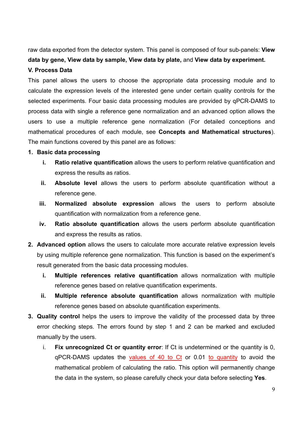raw data exported from the detector system. This panel is composed of four sub-panels: **View data by gene, View data by sample, View data by plate,** and **View data by experiment.**

## **V. Process Data**

This panel allows the users to choose the appropriate data processing module and to calculate the expression levels of the interested gene under certain quality controls for the selected experiments. Four basic data processing modules are provided by qPCR-DAMS to process data with single a reference gene normalization and an advanced option allows the users to use a multiple reference gene normalization (For detailed conceptions and mathematical procedures of each module, see **Concepts and Mathematical structures**). The main functions covered by this panel are as follows:

#### **1. Basic data processing**

- **i. Ratio relative quantification** allows the users to perform relative quantification and express the results as ratios.
- **ii. Absolute level** allows the users to perform absolute quantification without a reference gene.
- **iii. Normalized absolute expression** allows the users to perform absolute quantification with normalization from a reference gene.
- **iv. Ratio absolute quantification** allows the users perform absolute quantification and express the results as ratios.
- **2. Advanced option** allows the users to calculate more accurate relative expression levels by using multiple reference gene normalization. This function is based on the experiment's result generated from the basic data processing modules.
	- **i. Multiple references relative quantification** allows normalization with multiple reference genes based on relative quantification experiments.
	- **ii. Multiple reference absolute quantification** allows normalization with multiple reference genes based on absolute quantification experiments.
- **3. Quality control** helps the users to improve the validity of the processed data by three error checking steps. The errors found by step 1 and 2 can be marked and excluded manually by the users.
	- i. **Fix unrecognized Ct or quantity error**: If Ct is undetermined or the quantity is 0, qPCR-DAMS updates the values of 40 to Ct or 0.01 to quantity to avoid the mathematical problem of calculating the ratio. This option will permanently change the data in the system, so please carefully check your data before selecting **Yes**.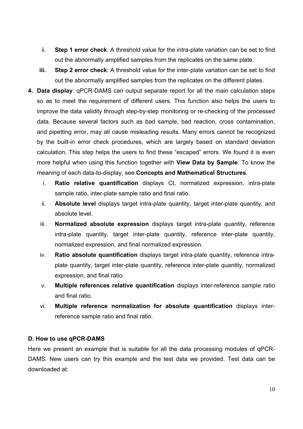- ii. **Step 1 error check**: A threshold value for the intra-plate variation can be set to find out the abnormally amplified samples from the replicates on the same plate.
- **iii.** Step 2 error check: A threshold value for the inter-plate variation can be set to find out the abnormally amplified samples from the replicates on the different plates.
- **4. Data display**: qPCR-DAMS can output separate report for all the main calculation steps so as to meet the requirement of different users. This function also helps the users to improve the data validity through step-by-step monitoring or re-checking of the processed data. Because several factors such as bad sample, bad reaction, cross contamination, and pipetting error, may all cause misleading results. Many errors cannot be recognized by the built-in error check procedures, which are largely based on standard deviation calculation. This step helps the users to find these "escaped" errors. We found it is even more helpful when using this function together with **View Data by Sample**. To know the meaning of each data-to-display, see **Concepts and Mathematical Structures**.
	- i. **Ratio relative quantification** displays Ct, normalized expression, intra-plate sample ratio, inter-plate sample ratio and final ratio.
	- ii. **Absolute level** displays target intra-plate quantity, target inter-plate quantity, and absolute level.
	- iii. **Normalized absolute expression** displays target intra-plate quantity, reference intra-plate quantity, target inter-plate quantity, reference inter-plate quantity, normalized expression, and final normalized expression.
	- iv. **Ratio absolute quantification** displays target intra-plate quantity, reference intraplate quantity, target inter-plate quantity, reference inter-plate quantity, normalized expression, and final ratio.
	- v. **Multiple references relative quantification** displays inter-reference sample ratio and final ratio.
	- vi. **Multiple reference normalization for absolute quantification** displays interreference sample ratio and final ratio.

## **D. How to use qPCR-DAMS**

Here we present an example that is suitable for all the data processing modules of qPCR-DAMS. New users can try this example and the test data we provided. Test data can be downloaded at: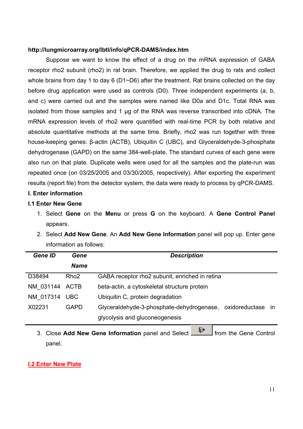#### **http://lungmicroarray.org/lbtl/info/qPCR-DAMS/index.htm**

Suppose we want to know the effect of a drug on the mRNA expression of GABA receptor rho2 subunit (rho2) in rat brain. Therefore, we applied the drug to rats and collect whole brains from day 1 to day 6 (D1~D6) after the treatment. Rat brains collected on the day before drug application were used as controls (D0). Three independent experiments (a, b, and c) were carried out and the samples were named like D0a and D1c. Total RNA was isolated from those samples and 1 µg of the RNA was reverse transcribed into cDNA. The mRNA expression levels of rho2 were quantified with real-time PCR by both relative and absolute quantitative methods at the same time. Briefly, rho2 was run together with three house-keeping genes: β-actin (ACTB), Ubiquitin C (UBC), and Glyceraldehyde-3-phosphate dehydrogenase (GAPD) on the same 384-well-plate. The standard curves of each gene were also run on that plate. Duplicate wells were used for all the samples and the plate-run was repeated once (on 03/25/2005 and 03/30/2005, respectively). After exporting the experiment results (report file) from the detector system, the data were ready to process by qPCR-DAMS.

#### **I. Enter information**

#### **I.1 Enter New Gene**

- 1. Select **Gene** on the **Menu** or press **G** on the keyboard. A **Gene Control Panel** appears.
- 2. Select **Add New Gene**. An **Add New Gene Information** panel will pop up. Enter gene information as follows:

| <b>Gene ID</b> | Gene             | <b>Description</b>                                          |  |
|----------------|------------------|-------------------------------------------------------------|--|
|                | <b>Name</b>      |                                                             |  |
| D38494         | Rho <sub>2</sub> | GABA receptor rho2 subunit, enriched in retina              |  |
| NM 031144 ACTB |                  | beta-actin, a cytoskeletal structure protein                |  |
| NM 017314 UBC  |                  | Ubiquitin C, protein degradation                            |  |
| X02231         | <b>GAPD</b>      | Glyceraldehyde-3-phosphate-dehydrogenase, oxidoreductase in |  |
|                |                  | glycolysis and gluconeogenesis                              |  |

3. Close **Add New Gene Information** panel and Select **Fig. 1** from the Gene Control panel.

## **I.2 Enter New Plate**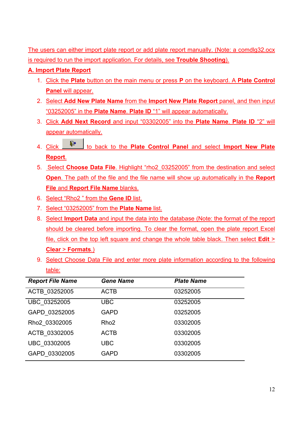The users can either import plate report or add plate report manually. (Note: a comdlg32.ocx is required to run the import application. For details, see **Trouble Shooting**).

# **A. Import Plate Report**

- 1. Click the **Plate** button on the main menu or press **P** on the keyboard. A **Plate Control Panel** will appear.
- 2. Select **Add New Plate Name** from the **Import New Plate Report** panel, and then input "03252005" in the **Plate Name**. **Plate ID** "1" will appear automatically.
- 3. Click **Add Next Record** and input "03302005" into the **Plate Name**. **Plate ID** "2" will appear automatically.
- 4. Click  $\frac{\mathbb{R}^4}{\mathbb{R}^4}$  to back to the **Plate Control Panel** and select **Import New Plate Report**.
- 5. Select **Choose Data File**. Highlight "rho2\_03252005" from the destination and select **Open**. The path of the file and the file name will show up automatically in the **Report File** and **Report File Name** blanks.
- 6. Select "Rho2 " from the **Gene ID** list.
- 7. Select "03252005" from the **Plate Name** list.
- 8. Select **Import Data** and input the data into the database (Note: the format of the report should be cleared before importing. To clear the format, open the plate report Excel file, click on the top left square and change the whole table black. Then select **Edit** > **Clear** > **Formats**.)
- 9. Select Choose Data File and enter more plate information according to the following table:

| <b>Report File Name</b> | <b>Gene Name</b> | <b>Plate Name</b> |
|-------------------------|------------------|-------------------|
| ACTB 03252005           | <b>ACTB</b>      | 03252005          |
| UBC 03252005            | <b>UBC</b>       | 03252005          |
| GAPD 03252005           | <b>GAPD</b>      | 03252005          |
| Rho2 03302005           | Rho <sub>2</sub> | 03302005          |
| ACTB 03302005           | <b>ACTB</b>      | 03302005          |
| UBC 03302005            | <b>UBC</b>       | 03302005          |
| GAPD 03302005           | <b>GAPD</b>      | 03302005          |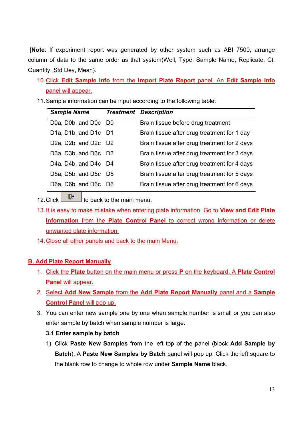[**Note**: If experiment report was generated by other system such as ABI 7500, arrange column of data to the same order as that system(Well, Type, Sample Name, Replicate, Ct, Quantity, Std Dev, Mean).

- 10. Click **Edit Sample Info** from the **Import Plate Report** panel. An **Edit Sample Info** panel will appear.
- 11. Sample information can be input according to the following table:

| <b>Sample Name</b>                                                      | <b>Treatment Description</b>                 |
|-------------------------------------------------------------------------|----------------------------------------------|
| D0a, D0b, and D0c D0                                                    | Brain tissue before drug treatment           |
| D <sub>1</sub> a, D <sub>1</sub> b, and D <sub>1c</sub> D <sub>1</sub>  | Brain tissue after drug treatment for 1 day  |
| D <sub>2</sub> a, D <sub>2</sub> b, and D <sub>2</sub> c D <sub>2</sub> | Brain tissue after drug treatment for 2 days |
| D3a, D3b, and D3c D3                                                    | Brain tissue after drug treatment for 3 days |
| D <sub>4</sub> a, D <sub>4</sub> b, and D <sub>4</sub> c D <sub>4</sub> | Brain tissue after drug treatment for 4 days |
| D5a, D5b, and D5c D5                                                    | Brain tissue after drug treatment for 5 days |
| D6a, D6b, and D6c D6                                                    | Brain tissue after drug treatment for 6 days |

12. Click  $\mathbb{P}$  to back to the main menu.

- 13. It is easy to make mistake when entering plate information. Go to **View and Edit Plate Information** from the **Plate Control Panel** to correct wrong information or delete unwanted plate information.
- 14. Close all other panels and back to the main Menu.

# **B. Add Plate Report Manually**

- 1. Click the **Plate** button on the main menu or press **P** on the keyboard. A **Plate Control Panel** will appear.
- 2. Select **Add New Sample** from the **Add Plate Report Manually** panel and a **Sample Control Panel** will pop up.
- 3. You can enter new sample one by one when sample number is small or you can also enter sample by batch when sample number is large.

# **3.1 Enter sample by batch**

1) Click **Paste New Samples** from the left top of the panel (block **Add Sample by Batch**). A **Paste New Samples by Batch** panel will pop up. Click the left square to the blank row to change to whole row under **Sample Name** black.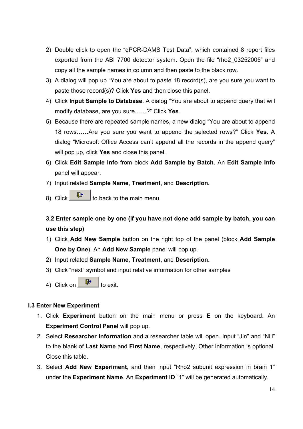- 2) Double click to open the "qPCR-DAMS Test Data", which contained 8 report files exported from the ABI 7700 detector system. Open the file "rho2\_03252005" and copy all the sample names in column and then paste to the black row.
- 3) A dialog will pop up "You are about to paste 18 record(s), are you sure you want to paste those record(s)? Click **Yes** and then close this panel.
- 4) Click **Input Sample to Database**. A dialog "You are about to append query that will modify database, are you sure……?" Click **Yes**.
- 5) Because there are repeated sample names, a new dialog "You are about to append 18 rows……Are you sure you want to append the selected rows?" Click **Yes**. A dialog "Microsoft Office Access can't append all the records in the append query" will pop up, click **Yes** and close this panel.
- 6) Click **Edit Sample Info** from block **Add Sample by Batch**. An **Edit Sample Info** panel will appear.
- 7) Input related **Sample Name**, **Treatment**, and **Description.**
- 8) Click  $\begin{array}{|c|c|c|}\n\hline\n\text{#} & \text{to back to the main menu.}\n\hline\n\end{array}$

# **3.2 Enter sample one by one (if you have not done add sample by batch, you can use this step)**

- 1) Click **Add New Sample** button on the right top of the panel (block **Add Sample One by One**). An **Add New Sample** panel will pop up.
- 2) Input related **Sample Name**, **Treatment**, and **Description.**
- 3) Click "next" symbol and input relative information for other samples
- 4) Click on  $\begin{array}{|c|c|} \hline \mathbb{F}^* & \mathbb{I}^* \end{array}$  to exit.

## **I.3 Enter New Experiment**

- 1. Click **Experiment** button on the main menu or press **E** on the keyboard. An **Experiment Control Panel** will pop up.
- 2. Select **Researcher Information** and a researcher table will open. Input "Jin" and "Nili" to the blank of **Last Name** and **First Name**, respectively. Other information is optional. Close this table.
- 3. Select **Add New Experiment**, and then input "Rho2 subunit expression in brain 1" under the **Experiment Name**. An **Experiment ID** "1" will be generated automatically.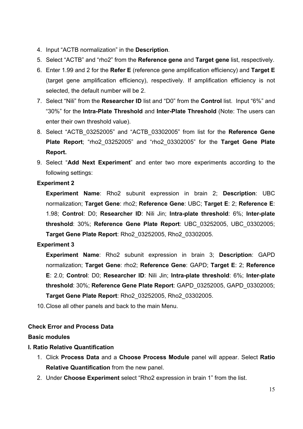- 4. Input "ACTB normalization" in the **Description**.
- 5. Select "ACTB" and "rho2" from the **Reference gene** and **Target gene** list, respectively.
- 6. Enter 1.99 and 2 for the **Refer E** (reference gene amplification efficiency) and **Target E**  (target gene amplification efficiency), respectively. If amplification efficiency is not selected, the default number will be 2.
- 7. Select "Nili" from the **Researcher ID** list and "D0" from the **Control** list. Input "6%" and "30%" for the **Intra-Plate Threshold** and **Inter-Plate Threshold** (Note: The users can enter their own threshold value).
- 8. Select "ACTB\_03252005" and "ACTB\_03302005" from list for the **Reference Gene Plate Report**; "rho2\_03252005" and "rho2\_03302005" for the **Target Gene Plate Report.**
- 9. Select "**Add Next Experiment**" and enter two more experiments according to the following settings:

## **Experiment 2**

**Experiment Name**: Rho2 subunit expression in brain 2; **Description**: UBC normalization; **Target Gene**: rho2; **Reference Gene**: UBC; **Target E**: 2; **Reference E**: 1.98; **Control**: D0; **Researcher ID**: Nili Jin; **Intra-plate threshold**: 6%; **Inter-plate threshold**: 30%; **Reference Gene Plate Report**: UBC\_03252005, UBC\_03302005; **Target Gene Plate Report**: Rho2\_03252005, Rho2\_03302005.

# **Experiment 3**

**Experiment Name**: Rho2 subunit expression in brain 3; **Description**: GAPD normalization; **Target Gene**: rho2; **Reference Gene**: GAPD; **Target E**: 2; **Reference E**: 2.0; **Control**: D0; **Researcher ID**: Nili Jin; **Intra-plate threshold**: 6%; **Inter-plate threshold**: 30%; **Reference Gene Plate Report**: GAPD\_03252005, GAPD\_03302005; **Target Gene Plate Report**: Rho2\_03252005, Rho2\_03302005.

10. Close all other panels and back to the main Menu.

# **Check Error and Process Data**

## **Basic modules**

## **I. Ratio Relative Quantification**

- 1. Click **Process Data** and a **Choose Process Module** panel will appear. Select **Ratio Relative Quantification** from the new panel.
- 2. Under **Choose Experiment** select "Rho2 expression in brain 1" from the list.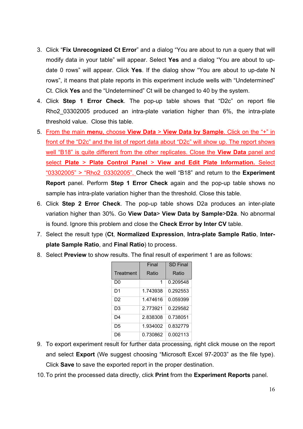- 3. Click "**Fix Unrecognized Ct Error**" and a dialog "You are about to run a query that will modify data in your table" will appear. Select **Yes** and a dialog "You are about to update 0 rows" will appear. Click **Yes**. If the dialog show "You are about to up-date N rows", it means that plate reports in this experiment include wells with "Undetermined" Ct. Click **Yes** and the "Undetermined" Ct will be changed to 40 by the system.
- 4. Click **Step 1 Error Check**. The pop-up table shows that "D2c" on report file Rho2\_03302005 produced an intra-plate variation higher than 6%, the intra-plate threshold value. Close this table.
- 5. From the main **menu**, choose **View Data** > **View Data by Sample**. Click on the "+" in front of the "D2c" and the list of report data about "D2c" will show up. The report shows well "B18" is quite different from the other replicates. Close the **View Data** panel and select **Plate** > **Plate Control Panel** > **View and Edit Plate Information.** Select "03302005" > "Rho2\_03302005". Check the well "B18" and return to the **Experiment Report** panel. Perform **Step 1 Error Check** again and the pop-up table shows no sample has intra-plate variation higher than the threshold. Close this table.
- 6. Click **Step 2 Error Check**. The pop-up table shows D2a produces an inter-plate variation higher than 30%. Go **View Data**> **View Data by Sample**>**D2a**. No abnormal is found. Ignore this problem and close the **Check Error by Inter CV** table.
- 7. Select the result type (**Ct**, **Normalized Expression**, **Intra-plate Sample Ratio**, **Interplate Sample Ratio**, and **Final Ratio**) to process.
- 8. Select **Preview** to show results. The final result of experiment 1 are as follows:

|                | Final    | <b>SD Final</b> |
|----------------|----------|-----------------|
| Treatment      | Ratio    | Ratio           |
| D0             | 1        | 0.209548        |
| D1             | 1.743938 | 0.292553        |
| D <sub>2</sub> | 1.474616 | 0.059399        |
| D3             | 2.773921 | 0.229582        |
| D4             | 2.838308 | 0.738051        |
| D5             | 1.934002 | 0.832779        |
| D6             | 0.730862 | 0.002113        |

- 9. To export experiment result for further data processing, right click mouse on the report and select **Export** (We suggest choosing "Microsoft Excel 97-2003" as the file type). Click **Save** to save the exported report in the proper destination.
- 10. To print the processed data directly, click **Print** from the **Experiment Reports** panel.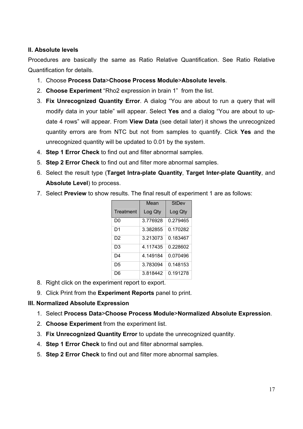## **II. Absolute levels**

Procedures are basically the same as Ratio Relative Quantification. See Ratio Relative Quantification for details.

- 1. Choose **Process Data**>**Choose Process Module**>**Absolute levels**.
- 2. **Choose Experiment** "Rho2 expression in brain 1" from the list.
- 3. **Fix Unrecognized Quantity Error**. A dialog "You are about to run a query that will modify data in your table" will appear. Select **Yes** and a dialog "You are about to update 4 rows" will appear. From **View Data** (see detail later) it shows the unrecognized quantity errors are from NTC but not from samples to quantify. Click **Yes** and the unrecognized quantity will be updated to 0.01 by the system.
- 4. **Step 1 Error Check** to find out and filter abnormal samples.
- 5. **Step 2 Error Check** to find out and filter more abnormal samples.
- 6. Select the result type (**Target Intra-plate Quantity**, **Target Inter-plate Quantity**, and **Absolute Level**) to process.
- 7. Select **Preview** to show results. The final result of experiment 1 are as follows:

|           | Mean     | StDev    |
|-----------|----------|----------|
| Treatment | Log Qty  | Log Qty  |
| D0        | 3.776928 | 0.279465 |
| D1        | 3.382855 | 0.170282 |
| D2        | 3.213073 | 0.183467 |
| D3        | 4.117435 | 0.228602 |
| D4        | 4.149184 | 0.070496 |
| D5        | 3.783094 | 0.148153 |
| D6        | 3.818442 | 0.191278 |

- 8. Right click on the experiment report to export.
- 9. Click Print from the **Experiment Reports** panel to print.

## **III. Normalized Absolute Expression**

- 1. Select **Process Data**>**Choose Process Module**>**Normalized Absolute Expression**.
- 2. **Choose Experiment** from the experiment list.
- 3. **Fix Unrecognized Quantity Error** to update the unrecognized quantity.
- 4. **Step 1 Error Check** to find out and filter abnormal samples.
- 5. **Step 2 Error Check** to find out and filter more abnormal samples.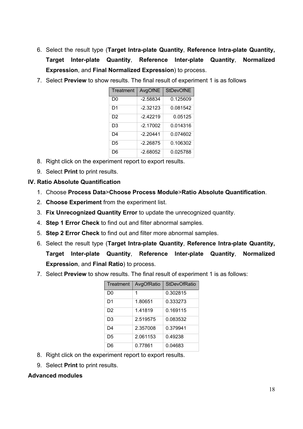- 6. Select the result type (**Target Intra-plate Quantity**, **Reference Intra-plate Quantity, Target Inter-plate Quantity**, **Reference Inter-plate Quantity**, **Normalized Expression**, and **Final Normalized Expression**) to process.
- 7. Select **Preview** to show results. The final result of experiment 1 is as follows

| Treatment      | AvgOfNE    | <b>StDevOfNE</b> |
|----------------|------------|------------------|
| D0             | $-2.58834$ | 0.125609         |
| D1             | $-2.32123$ | 0.081542         |
| D <sub>2</sub> | $-2.42219$ | 0.05125          |
| D3             | $-2.17002$ | 0.014316         |
| D <sub>4</sub> | -2.20441   | 0.074602         |
| D5             | $-2.26875$ | 0.106302         |
| D6             | $-2.68052$ | 0.025788         |

- 8. Right click on the experiment report to export results.
- 9. Select **Print** to print results.

# **IV. Ratio Absolute Quantification**

- 1. Choose **Process Data**>**Choose Process Module**>**Ratio Absolute Quantification**.
- 2. **Choose Experiment** from the experiment list.
- 3. **Fix Unrecognized Quantity Error** to update the unrecognized quantity.
- 4. **Step 1 Error Check** to find out and filter abnormal samples.
- 5. **Step 2 Error Check** to find out and filter more abnormal samples.
- 6. Select the result type (**Target Intra-plate Quantity**, **Reference Intra-plate Quantity, Target Inter-plate Quantity**, **Reference Inter-plate Quantity**, **Normalized Expression**, and **Final Ratio**) to process.
- 7. Select **Preview** to show results. The final result of experiment 1 is as follows:

| Treatment | AvgOfRatio | <b>StDevOfRatio</b> |
|-----------|------------|---------------------|
| D0        | 1          | 0.302815            |
| D1        | 1.80651    | 0.333273            |
| D2        | 1.41819    | 0.169115            |
| D3        | 2.519575   | 0.083532            |
| D4        | 2.357008   | 0.379941            |
| D5        | 2.061153   | 0.49238             |
| D6        | 0.77861    | 0.04683             |

- 8. Right click on the experiment report to export results.
- 9. Select **Print** to print results.

# **Advanced modules**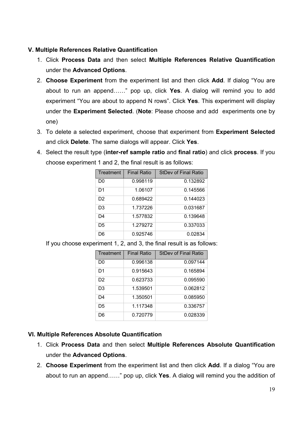## **V. Multiple References Relative Quantification**

- 1. Click **Process Data** and then select **Multiple References Relative Quantification** under the **Advanced Options**.
- 2. **Choose Experiment** from the experiment list and then click **Add**. If dialog "You are about to run an append……" pop up, click **Yes**. A dialog will remind you to add experiment "You are about to append N rows". Click **Yes**. This experiment will display under the **Experiment Selected**. (**Note**: Please choose and add experiments one by one)
- 3. To delete a selected experiment, choose that experiment from **Experiment Selected**  and click **Delete**. The same dialogs will appear. Click **Yes**.
- 4. Select the result type (**inter-ref sample ratio** and **final ratio**) and click **process**. If you choose experiment 1 and 2, the final result is as follows:

| Treatment      | <b>Final Ratio</b> | <b>StDev of Final Ratio</b> |
|----------------|--------------------|-----------------------------|
| D0             | 0.998119           | 0.132892                    |
| D1             | 1.06107            | 0.145566                    |
| D <sub>2</sub> | 0.689422           | 0.144023                    |
| D3             | 1.737226           | 0.031687                    |
| D4             | 1.577832           | 0.139648                    |
| D5             | 1.279272           | 0.337033                    |
| D6             | 0.925746           | 0.02834                     |

If you choose experiment 1, 2, and 3, the final result is as follows:

| Treatment      | <b>Final Ratio</b> | <b>StDev of Final Ratio</b> |
|----------------|--------------------|-----------------------------|
| D0             | 0.996138           | 0.097144                    |
| D1             | 0.915643           | 0.165894                    |
| D <sub>2</sub> | 0.623733           | 0.095590                    |
| D <sub>3</sub> | 1.539501           | 0.062812                    |
| D4             | 1.350501           | 0.085950                    |
| D5             | 1.117348           | 0.336757                    |
| D6             | 0.720779           | 0.028339                    |

# **VI. Multiple References Absolute Quantification**

- 1. Click **Process Data** and then select **Multiple References Absolute Quantification** under the **Advanced Options**.
- 2. **Choose Experiment** from the experiment list and then click **Add**. If a dialog "You are about to run an append……" pop up, click **Yes**. A dialog will remind you the addition of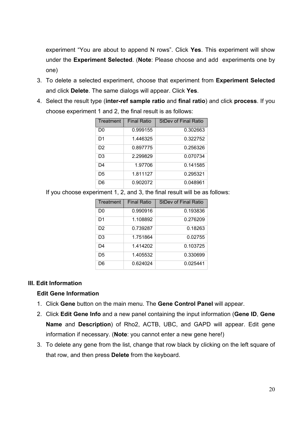experiment "You are about to append N rows". Click **Yes**. This experiment will show under the **Experiment Selected**. (**Note**: Please choose and add experiments one by one)

- 3. To delete a selected experiment, choose that experiment from **Experiment Selected**  and click **Delete**. The same dialogs will appear. Click **Yes**.
- 4. Select the result type (**inter-ref sample ratio** and **final ratio**) and click **process**. If you choose experiment 1 and 2, the final result is as follows:

| Treatment      | <b>Final Ratio</b> | <b>StDev of Final Ratio</b> |
|----------------|--------------------|-----------------------------|
| D0             | 0.999155           | 0.302663                    |
| D1             | 1.446325           | 0.322752                    |
| D <sub>2</sub> | 0.897775           | 0.256326                    |
| D3             | 2.299829           | 0.070734                    |
| D <sub>4</sub> | 1.97706            | 0.141585                    |
| D5             | 1.811127           | 0.295321                    |
| D6             | 0.902072           | 0.048961                    |

If you choose experiment 1, 2, and 3, the final result will be as follows:

| Treatment      | <b>Final Ratio</b> | <b>StDev of Final Ratio</b> |
|----------------|--------------------|-----------------------------|
| D0             | 0.990916           | 0.193836                    |
| D <sub>1</sub> | 1.108892           | 0.276209                    |
| D <sub>2</sub> | 0.739287           | 0.18263                     |
| D3             | 1.751864           | 0.02755                     |
| D4             | 1.414202           | 0.103725                    |
| D5             | 1.405532           | 0.330699                    |
| D6             | 0.624024           | 0.025441                    |

## **III. Edit Information**

# **Edit Gene Information**

- 1. Click **Gene** button on the main menu. The **Gene Control Panel** will appear.
- 2. Click **Edit Gene Info** and a new panel containing the input information (**Gene ID**, **Gene Name** and **Description**) of Rho2, ACTB, UBC, and GAPD will appear. Edit gene information if necessary. (**Note**: you cannot enter a new gene here!)
- 3. To delete any gene from the list, change that row black by clicking on the left square of that row, and then press **Delete** from the keyboard.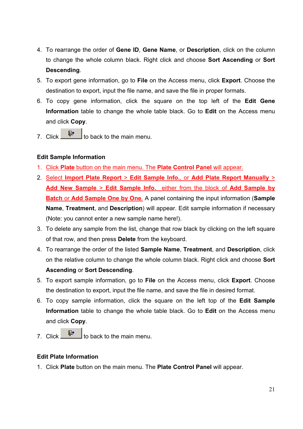- 4. To rearrange the order of **Gene ID**, **Gene Name**, or **Description**, click on the column to change the whole column black. Right click and choose **Sort Ascending** or **Sort Descending**.
- 5. To export gene information, go to **File** on the Access menu, click **Export**. Choose the destination to export, input the file name, and save the file in proper formats.
- 6. To copy gene information, click the square on the top left of the **Edit Gene Information** table to change the whole table black. Go to **Edit** on the Access menu and click **Copy**.
- 7. Click  $\begin{array}{|c|c|c|}\n\hline\n\hline\n\end{array}$  to back to the main menu.

# **Edit Sample Information**

- 1. Click **Plate** button on the main menu. The **Plate Control Panel** will appear.
- 2. Select **Import Plate Report** > **Edit Sample Info.**, or **Add Plate Report Manually** > **Add New Sample** > **Edit Sample Info.** either from the block of **Add Sample by Batch** or **Add Sample One by One**. A panel containing the input information (**Sample Name**, **Treatment**, and **Description**) will appear. Edit sample information if necessary (Note: you cannot enter a new sample name here!).
- 3. To delete any sample from the list, change that row black by clicking on the left square of that row, and then press **Delete** from the keyboard.
- 4. To rearrange the order of the listed **Sample Name**, **Treatment**, and **Description**, click on the relative column to change the whole column black. Right click and choose **Sort Ascending** or **Sort Descending**.
- 5. To export sample information, go to **File** on the Access menu, click **Export**. Choose the destination to export, input the file name, and save the file in desired format.
- 6. To copy sample information, click the square on the left top of the **Edit Sample Information** table to change the whole table black. Go to **Edit** on the Access menu and click **Copy**.
- 7. Click  $\mathbb{P}$  to back to the main menu.

# **Edit Plate Information**

1. Click **Plate** button on the main menu. The **Plate Control Panel** will appear.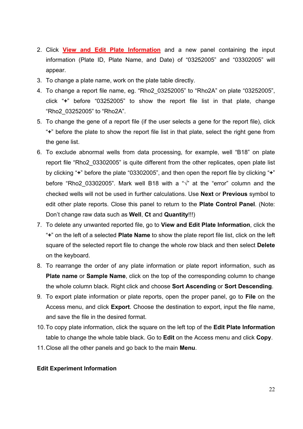- 2. Click **View and Edit Plate Information** and a new panel containing the input information (Plate ID, Plate Name, and Date) of "03252005" and "03302005" will appear.
- 3. To change a plate name, work on the plate table directly.
- 4. To change a report file name, eg. "Rho2\_03252005" to "Rho2A" on plate "03252005", click "**+**" before "03252005" to show the report file list in that plate, change "Rho2\_03252005" to "Rho2A".
- 5. To change the gene of a report file (if the user selects a gene for the report file), click "**+**" before the plate to show the report file list in that plate, select the right gene from the gene list.
- 6. To exclude abnormal wells from data processing, for example, well "B18" on plate report file "Rho2 03302005" is quite different from the other replicates, open plate list by clicking "**+**" before the plate "03302005", and then open the report file by clicking "**+**" before "Rho2 03302005". Mark well B18 with a " $\sqrt{ }$ " at the "error" column and the checked wells will not be used in further calculations. Use **Next** or **Previous** symbol to edit other plate reports. Close this panel to return to the **Plate Control Panel**. (Note: Don't change raw data such as **Well**, **Ct** and **Quantity**!!!)
- 7. To delete any unwanted reported file, go to **View and Edit Plate Information**, click the "**+**" on the left of a selected **Plate Name** to show the plate report file list, click on the left square of the selected report file to change the whole row black and then select **Delete** on the keyboard.
- 8. To rearrange the order of any plate information or plate report information, such as **Plate name** or **Sample Name**, click on the top of the corresponding column to change the whole column black. Right click and choose **Sort Ascending** or **Sort Descending**.
- 9. To export plate information or plate reports, open the proper panel, go to **File** on the Access menu, and click **Export**. Choose the destination to export, input the file name, and save the file in the desired format.
- 10. To copy plate information, click the square on the left top of the **Edit Plate Information** table to change the whole table black. Go to **Edit** on the Access menu and click **Copy**.
- 11. Close all the other panels and go back to the main **Menu**.

#### **Edit Experiment Information**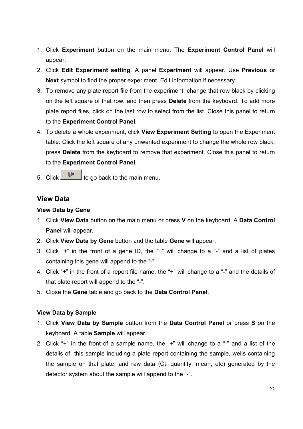- 1. Click **Experiment** button on the main menu. The **Experiment Control Panel** will appear.
- 2. Click **Edit Experiment setting**. A panel **Experiment** will appear. Use **Previous** or **Next** symbol to find the proper experiment. Edit information if necessary.
- 3. To remove any plate report file from the experiment, change that row black by clicking on the left square of that row, and then press **Delete** from the keyboard. To add more plate report files, click on the last row to select from the list. Close this panel to return to the **Experiment Control Panel**.
- 4. To delete a whole experiment, click **View Experiment Setting** to open the Experiment table. Click the left square of any unwanted experiment to change the whole row black, press **Delete** from the keyboard to remove that experiment. Close this panel to return to the **Experiment Control Panel**.
- 5. Click  $\begin{array}{|c|c|c|}\n\hline\n\text{#} & \text{to go back to the main menu.}\n\end{array}$

# **View Data**

## **View Data by Gene**

- 1. Click **View Data** button on the main menu or press **V** on the keyboard. A **Data Control Panel** will appear.
- 2. Click **View Data by Gene** button and the table **Gene** will appear.
- 3. Click "**+**" in the front of a gene ID, the "+" will change to a "-" and a list of plates containing this gene will append to the "-".
- 4. Click "+" in the front of a report file name, the "+" will change to a "-" and the details of that plate report will append to the "-".
- 5. Close the **Gene** table and go back to the **Data Control Panel**.

## **View Data by Sample**

- 1. Click **View Data by Sample** button from the **Data Control Panel** or press **S** on the keyboard. A table **Sample** will appear.
- 2. Click "+" in the front of a sample name, the "+" will change to a "-" and a list of the details of this sample including a plate report containing the sample, wells containing the sample on that plate, and raw data (Ct, quantity, mean, etc) generated by the detector system about the sample will append to the "-".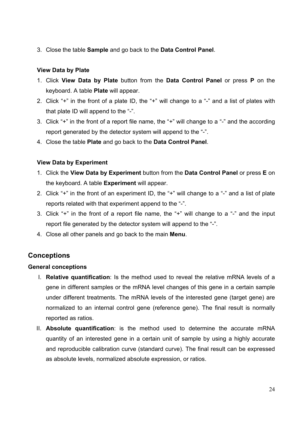3. Close the table **Sample** and go back to the **Data Control Panel**.

## **View Data by Plate**

- 1. Click **View Data by Plate** button from the **Data Control Panel** or press **P** on the keyboard. A table **Plate** will appear.
- 2. Click "+" in the front of a plate ID, the "+" will change to a "-" and a list of plates with that plate ID will append to the "-".
- 3. Click "+" in the front of a report file name, the "+" will change to a "-" and the according report generated by the detector system will append to the "-".
- 4. Close the table **Plate** and go back to the **Data Control Panel**.

## **View Data by Experiment**

- 1. Click the **View Data by Experiment** button from the **Data Control Panel** or press **E** on the keyboard. A table **Experiment** will appear.
- 2. Click "+" in the front of an experiment ID, the "+" will change to a "-" and a list of plate reports related with that experiment append to the "-".
- 3. Click "+" in the front of a report file name, the "+" will change to a "-" and the input report file generated by the detector system will append to the "-".
- 4. Close all other panels and go back to the main **Menu**.

# **Conceptions**

## **General conceptions**

- I. **Relative quantification**: Is the method used to reveal the relative mRNA levels of a gene in different samples or the mRNA level changes of this gene in a certain sample under different treatments. The mRNA levels of the interested gene (target gene) are normalized to an internal control gene (reference gene). The final result is normally reported as ratios.
- II. **Absolute quantification**: is the method used to determine the accurate mRNA quantity of an interested gene in a certain unit of sample by using a highly accurate and reproducible calibration curve (standard curve). The final result can be expressed as absolute levels, normalized absolute expression, or ratios.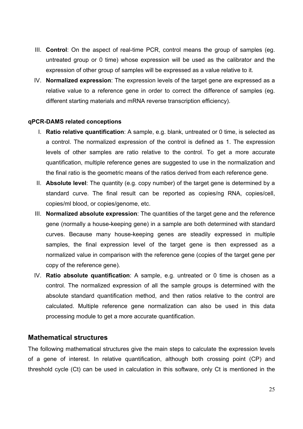- III. **Control**: On the aspect of real-time PCR, control means the group of samples (eg. untreated group or 0 time) whose expression will be used as the calibrator and the expression of other group of samples will be expressed as a value relative to it.
- IV. **Normalized expression**: The expression levels of the target gene are expressed as a relative value to a reference gene in order to correct the difference of samples (eg. different starting materials and mRNA reverse transcription efficiency).

#### **qPCR-DAMS related conceptions**

- I. **Ratio relative quantification**: A sample, e.g. blank, untreated or 0 time, is selected as a control. The normalized expression of the control is defined as 1. The expression levels of other samples are ratio relative to the control. To get a more accurate quantification, multiple reference genes are suggested to use in the normalization and the final ratio is the geometric means of the ratios derived from each reference gene.
- II. **Absolute level**: The quantity (e.g. copy number) of the target gene is determined by a standard curve. The final result can be reported as copies/ng RNA, copies/cell, copies/ml blood, or copies/genome, etc.
- III. **Normalized absolute expression**: The quantities of the target gene and the reference gene (normally a house-keeping gene) in a sample are both determined with standard curves. Because many house-keeping genes are steadily expressed in multiple samples, the final expression level of the target gene is then expressed as a normalized value in comparison with the reference gene (copies of the target gene per copy of the reference gene).
- IV. **Ratio absolute quantification**: A sample, e.g. untreated or 0 time is chosen as a control. The normalized expression of all the sample groups is determined with the absolute standard quantification method, and then ratios relative to the control are calculated. Multiple reference gene normalization can also be used in this data processing module to get a more accurate quantification.

## **Mathematical structures**

The following mathematical structures give the main steps to calculate the expression levels of a gene of interest. In relative quantification, although both crossing point (CP) and threshold cycle (Ct) can be used in calculation in this software, only Ct is mentioned in the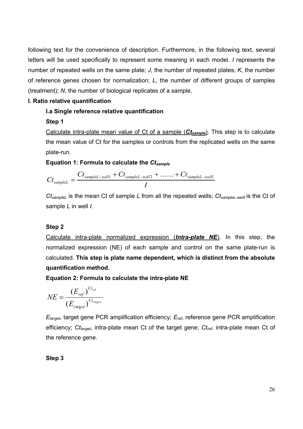following text for the convenience of description. Furthermore, in the following text, several letters will be used specifically to represent some meaning in each model. *I* represents the number of repeated wells on the same plate; *J*, the number of repeated plates; *K*, the number of reference genes chosen for normalization; *L*, the number of different groups of samples (treatment); *N*, the number of biological replicates of a sample.

## **I. Ratio relative quantification**

## **I.a Single reference relative quantification**

## **Step 1**

Calculate intra-plate mean value of Ct of a sample (*Ctsample*). This step is to calculate the mean value of Ct for the samples or controls from the replicated wells on the same plate-run.

## **Equation 1: Formula to calculate the** *Ctsample*

$$
C t_{sampleL} = \frac{C t_{sampleL-well1} + C t_{sampleL-well2} + \ldots + C t_{sampleL-well1}}{I}
$$

*CtsampleL* is the mean Ct of sample *L* from all the repeated wells; *CtsampleL-wellI* is the Ct of sample *L* in well *I*.

# **Step 2**

Calculate intra-plate normalized expression (*Intra-plate NE*). In this step, the normalized expression (NE) of each sample and control on the same plate-run is calculated. **This step is plate name dependent, which is distinct from the absolute quantification method.** 

**Equation 2: Formula to calculate the intra-plate NE** 

$$
NE = \frac{(E_{ref})^{C_{t_{ref}}}}{(E_{target})^{C_{t_{target}}}}
$$

*Etarget*, target gene PCR amplification efficiency; *Eref*, reference gene PCR amplification efficiency; *Ct<sub>target</sub>*, intra-plate mean Ct of the target gene; *Ct<sub>ref</sub>*, intra-plate mean Ct of the reference gene.

**Step 3**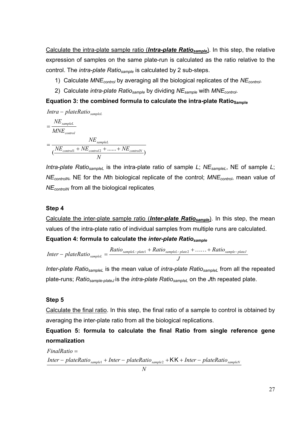Calculate the intra-plate sample ratio (*Intra-plate Ratiosample*). In this step, the relative expression of samples on the same plate-run is calculated as the ratio relative to the control. The *intra-plate Ratiosample* is calculated by 2 sub-steps.

- 1) Calculate *MNEcontrol* by averaging all the biological replicates of the *NEcontrol*.
- 2) Calculate *intra-plate Ratiosample* by dividing *NEsample* with *MNEcontrol*.

#### **Equation 3: the combined formula to calculate the intra-plate Ratio Sample**

$$
Intra - plateRatio_{sampleL}
$$
\n
$$
= \frac{NE_{sampleL}}{MNE_{control}}
$$
\n
$$
= \frac{NE_{sampleL}}{(NE_{control1} + NE_{control2} + ...... + NE_{controlN})}
$$

*Intra-plate RatiosampleL* is the intra-plate ratio of sample *L*; *NEsampleL*, NE of sample *L*; *NEcontrolN*, NE for the *N*th biological replicate of the control; *MNEcontrol*, mean value of *NE<sub>controlN</sub>* from all the biological replicates.

#### **Step 4**

Calculate the inter-plate sample ratio (**Inter-plate Ratio**<sub>sample</sub>). In this step, the mean values of the intra-plate ratio of individual samples from multiple runs are calculated.

#### **Equation 4: formula to calculate the** *inter-plate Ratiosample*

$$
Inter-plateRatio_{sampleL} = \frac{Ratio_{sampleL-plate1} + Ratio_{sampleL-plate2} + \ldots + Ratio_{sample-plateJ}}{J}
$$

*Inter-plate Ratio<sub>sampleL</sub>* is the mean value of *intra-plate Ratio<sub>sampleL</sub>* from all the repeated plate-runs; *Ratiosample-plateJ* is the *intra-plate RatiosampleL* on the *J*th repeated plate.

#### **Step 5**

Calculate the final ratio. In this step, the final ratio of a sample to control is obtained by averaging the inter-plate ratio from all the biological replications.

**Equation 5: formula to calculate the final Ratio from single reference gene normalization** 

*Inter* − *plateRatio* <sub>*sample1*</sub> + *Inter* − *plateRatio* <sub>*sample2*</sub> + **KK** + *Inter* − *plateRatio* <sub>*sampleN*</sub> *FinalRatio* =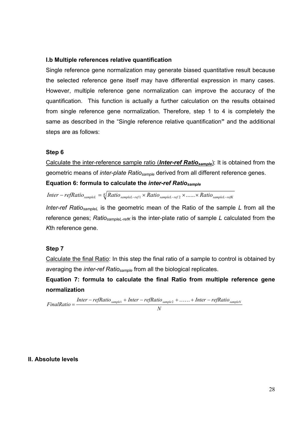#### **I.b Multiple references relative quantification**

Single reference gene normalization may generate biased quantitative result because the selected reference gene itself may have differential expression in many cases. However, multiple reference gene normalization can improve the accuracy of the quantification. This function is actually a further calculation on the results obtained from single reference gene normalization. Therefore, step 1 to 4 is completely the same as described in the "Single reference relative quantification**"** and the additional steps are as follows:

#### **Step 6**

Calculate the inter-reference sample ratio (**Inter-ref Ratio**<sub>sample</sub>): It is obtained from the geometric means of *inter-plate Ratiosample* derived from all different reference genes.

#### **Equation 6: formula to calculate the** *inter-ref Ratiosample*

 $Inter-refRatio_{sampleL} = \sqrt[K]{Ratio_{sampleL-ref1} \times Ratio_{sampleL-ref2} \times . . . . . . \times Ratio_{sampleL-refK}}$ 

*Inter-ref RatiosampleL* is the geometric mean of the Ratio of the sample *L* from all the reference genes; *Ratio<sub>sampleL-refK</sub>* is the inter-plate ratio of sample *L* calculated from the *K*th reference gene.

#### **Step 7**

Calculate the final Ratio: In this step the final ratio of a sample to control is obtained by averaging the *inter-ref Ratiosample* from all the biological replicates.

**Equation 7: formula to calculate the final Ratio from multiple reference gene normalization** 

*N*  $FinalRatio = \frac{Inter - refRatio_{sample1} + Inter - refRatio_{sample2} + \ldots + Inter - refRatio_{sampleN}}{1 - (1 - 1) + (1 - 1)}$ 

#### **II. Absolute levels**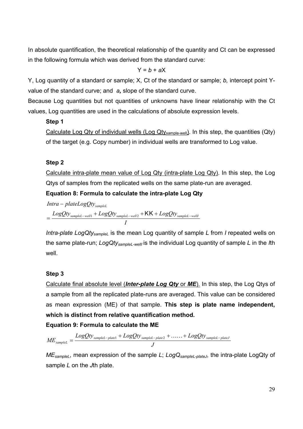In absolute quantification, the theoretical relationship of the quantity and Ct can be expressed in the following formula which was derived from the standard curve:

 $Y = b + aX$ 

Y, Log quantity of a standard or sample; X, Ct of the standard or sample; *b,* intercept point Yvalue of the standard curve; and *a,* slope of the standard curve.

Because Log quantities but not quantities of unknowns have linear relationship with the Ct values, Log quantities are used in the calculations of absolute expression levels.

# **Step 1**

Calculate Log Qty of individual wells (Log Qty<sub>sample-well</sub>). In this step, the quantities (Qty) of the target (e.g. Copy number) in individual wells are transformed to Log value.

# **Step 2**

Calculate intra-plate mean value of Log Qty (intra-plate Log Qty). In this step, the Log Qtys of samples from the replicated wells on the same plate-run are averaged.

**Equation 8: Formula to calculate the intra-plate Log Qty** 

*Intra plateLogQty sampleL* −

 $=\frac{LogQt y_{sampleL-well1} + LogQt y_{sampleL-well2} + \textsf{KK} + LogQt y_{sampleL-well1}}{maxQt}$ 

*I*

*Intra-plate LogQtysampleL* is the mean Log quantity of sample *L* from *I* repeated wells on the same plate-run; *LogQtysampleL-wellI* is the individual Log quantity of sample *L* in the *I*th well.

# **Step 3**

Calculate final absolute level (*Inter-plate Log Qty* or *ME*). In this step, the Log Qtys of a sample from all the replicated plate-runs are averaged. This value can be considered as mean expression (ME) of that sample. **This step is plate name independent, which is distinct from relative quantification method.** 

# **Equation 9: Formula to calculate the ME**

$$
ME_{sampleL} = \frac{LogQt y_{sampleL-plate1} + LogQt y_{sampleL-plate2} + \ldots + LogQt y_{sampleL-plateJ}}{J}
$$

*MEsampleL*, mean expression of the sample *L*; *LogQsampleL-plateJ*, the intra-plate LogQty of sample *L* on the *J*th plate.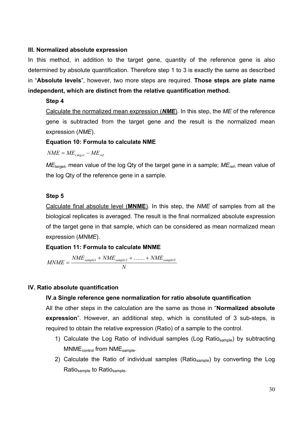#### **III. Normalized absolute expression**

In this method, in addition to the target gene, quantity of the reference gene is also determined by absolute quantification. Therefore step 1 to 3 is exactly the same as described in "**Absolute levels**", however, two more steps are required. **Those steps are plate name independent, which are distinct from the relative quantification method.** 

#### **Step 4**

Calculate the normalized mean expression (*NME*). In this step, the *ME* of the reference gene is subtracted from the target gene and the result is the normalized mean expression (*NME*).

## **Equation 10: Formula to calculate NME**

 $NME = ME$ <sub>t arg *et*</sub>  $- ME$ <sub>ref</sub>

*MEtarget*, mean value of the log Qty of the target gene in a sample; *MEref*, mean value of the log Qty of the reference gene in a sample.

#### **Step 5**

Calculate final absolute level (**MNME**). In this step, the *NME* of samples from all the biological replicates is averaged. The result is the final normalized absolute expression of the target gene in that sample, which can be considered as mean normalized mean expression (*MNME*).

## **Equation 11: Formula to calculate MNME**

$$
MNME = \frac{NME_{sample1} + NME_{sample2} + \ldots + NME_{sampleN}}{N}
$$

#### **IV. Ratio absolute quantification**

## **IV.a Single reference gene normalization for ratio absolute quantification**

All the other steps in the calculation are the same as those in "**Normalized absolute expression**". However, an additional step, which is constituted of 3 sub-steps, is required to obtain the relative expression (Ratio) of a sample to the control.

- 1) Calculate the Log Ratio of individual samples (Log Ratio<sub>sample</sub>) by subtracting MNMEcontrol from NMEsample.
- 2) Calculate the Ratio of individual samples (Ratio<sub>sample</sub>) by converting the Log Ratio<sub>sample</sub> to Ratio<sub>sample</sub>.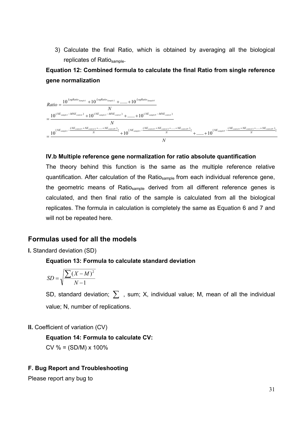3) Calculate the final Ratio, which is obtained by averaging all the biological replicates of Ratio<sub>sample</sub>.

# **Equation 12: Combined formula to calculate the final Ratio from single reference gene normalization**



## **IV.b Multiple reference gene normalization for ratio absolute quantification**

The theory behind this function is the same as the multiple reference relative quantification. After calculation of the Ratio<sub>sample</sub> from each individual reference gene, the geometric means of Ratiosample derived from all different reference genes is calculated, and then final ratio of the sample is calculated from all the biological replicates. The formula in calculation is completely the same as Equation 6 and 7 and will not be repeated here.

## **Formulas used for all the models**

#### **I.** Standard deviation (SD)

#### **Equation 13: Formula to calculate standard deviation**

$$
SD = \sqrt{\frac{\sum (X - M)^2}{N - 1}}
$$

SD, standard deviation;  $\sum$ , sum; X, individual value; M, mean of all the individual value; N, number of replications.

#### **II.** Coefficient of variation (CV)

## **Equation 14: Formula to calculate CV:**

 $CV % = (SD/M) × 100%$ 

#### **F. Bug Report and Troubleshooting**

Please report any bug to